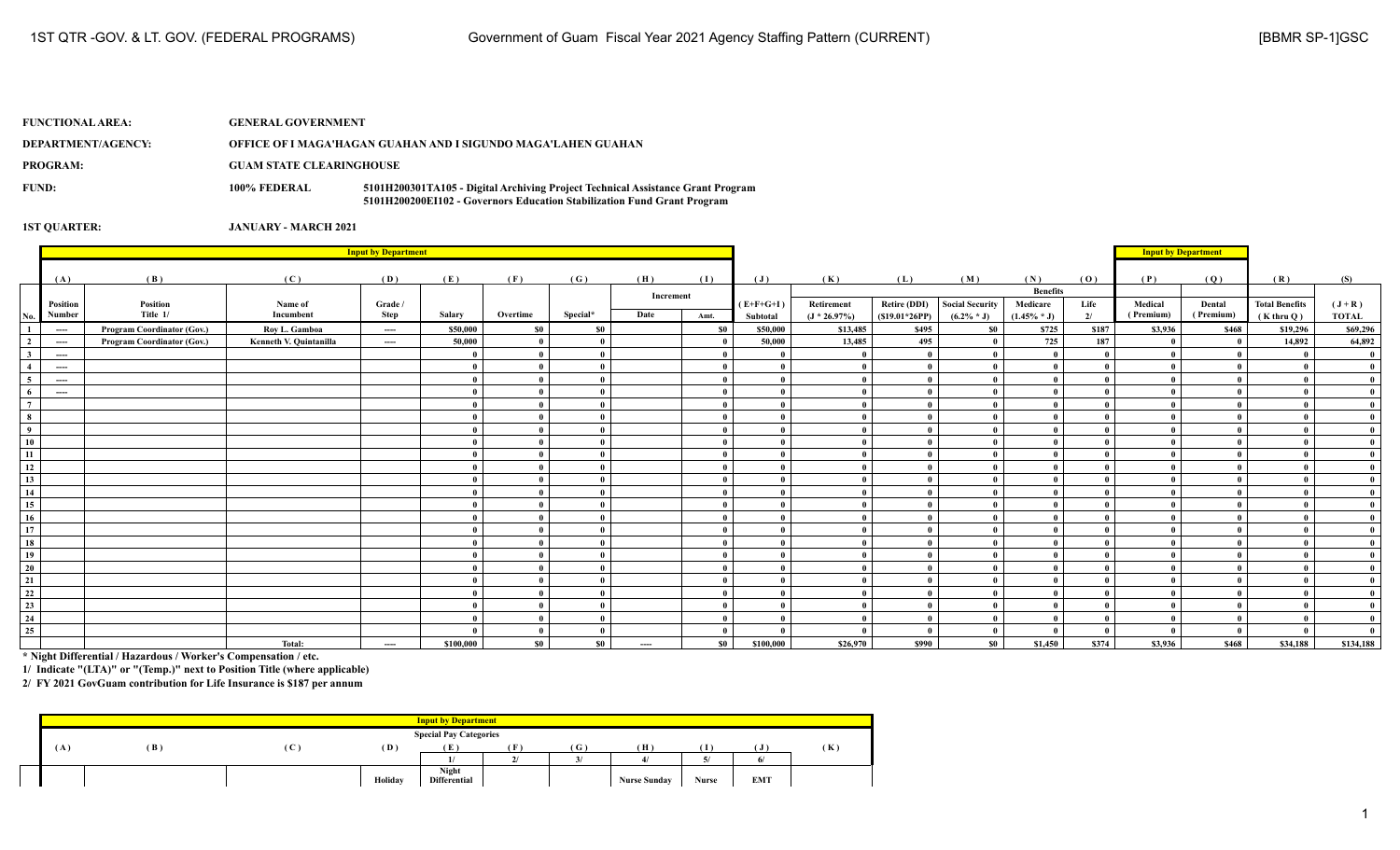| <b>FUNCTIONAL AREA:</b> | <b>GENERAL GOVERNMENT</b>       |                                                                                                                                                            |
|-------------------------|---------------------------------|------------------------------------------------------------------------------------------------------------------------------------------------------------|
| DEPARTMENT/AGENCY:      |                                 | OFFICE OF I MAGA'HAGAN GUAHAN AND I SIGUNDO MAGA'LAHEN GUAHAN                                                                                              |
| <b>PROGRAM:</b>         | <b>GUAM STATE CLEARINGHOUSE</b> |                                                                                                                                                            |
| FUND:                   | 100% FEDERAL                    | 5101H200301TA105 - Digital Archiving Project Technical Assistance Grant Program<br>5101H200200EI102 - Governors Education Stabilization Fund Grant Program |

|                         |                                                              | <b>Input by Department</b> |                        |          |              |          |          |           |           |                |                 |                     |                        |                 |       |              | <b>Input by Department</b> |                       |              |
|-------------------------|--------------------------------------------------------------|----------------------------|------------------------|----------|--------------|----------|----------|-----------|-----------|----------------|-----------------|---------------------|------------------------|-----------------|-------|--------------|----------------------------|-----------------------|--------------|
|                         | (A)                                                          | (B)                        | (C)                    | (D)      | (E)          | (F)      | (G)      | (H)       | (I)       | $(\mathbf{J})$ | (K)             | (L)                 | (M)                    | (N)             | (0)   | (P)          | (Q)                        | (R)                   | (S)          |
|                         |                                                              |                            |                        |          |              |          |          |           |           |                |                 |                     |                        | <b>Benefits</b> |       |              |                            |                       |              |
|                         | Position                                                     | Position                   | Name of                | Grade /  |              |          |          | Increment |           | $(E+F+G+I)$    | Retirement      | <b>Retire (DDI)</b> | <b>Social Security</b> | Medicare        | Life  | Medical      | Dental                     | <b>Total Benefits</b> | $(J+R)$      |
| No.                     | Number                                                       | Title 1/                   | Incumbent              | Step     | Salarv       | Overtime | Special* | Date      | Amt.      | Subtotal       | $(J * 26.97\%)$ | $(S19.01*26PP)$     | $(6.2\% * J)$          | $(1.45\% * J)$  | 2/    | (Premium)    | (Premium)                  | $(K$ thru $O)$        | <b>TOTAL</b> |
| 1                       | $\hspace{0.05cm} \ldots \hspace{0.05cm}$                     | Program Coordinator (Gov.) | Roy L. Gamboa          | $---$    | \$50,000     | \$0      | \$0      |           | <b>SO</b> | \$50,000       | \$13,485        | \$495               | S <sub>0</sub>         | \$725           | \$187 | \$3,936      | \$468                      | \$19,296              | \$69,296     |
| $\overline{2}$          | $\hspace{0.1em} \ldots \hspace{0.1em} \ldots \hspace{0.1em}$ | Program Coordinator (Gov.) | Kenneth V. Quintanilla | $---$    | 50,000       |          |          |           |           | 50,000         | 13,485          | 495                 |                        | 725             | 187   |              | $\mathbf{0}$               | 14,892                | 64,892       |
| $\overline{\mathbf{3}}$ | $\cdots$                                                     |                            |                        |          |              |          |          |           |           | $\mathbf{0}$   | $\theta$        | $\mathbf{0}$        |                        | $\mathbf{0}$    |       |              |                            |                       |              |
| $\overline{4}$          | ----                                                         |                            |                        |          | $\theta$     |          |          |           |           | $\theta$       | $\theta$        | $\mathbf{0}$        |                        | $\theta$        |       | $\mathbf{0}$ | $\theta$                   |                       |              |
| 5 <sup>5</sup>          | $---$                                                        |                            |                        |          | $\mathbf{0}$ |          |          |           |           | $\theta$       | $\overline{0}$  | $\mathbf{a}$        |                        | $\mathbf{a}$    |       | $\mathbf{0}$ |                            |                       |              |
| 6                       | $---$                                                        |                            |                        |          | $\mathbf{0}$ |          |          |           |           | $\theta$       | $\theta$        | $\mathbf{u}$        |                        | $\mathbf{0}$    |       | $\Omega$     |                            |                       |              |
| $7\phantom{.0}$         |                                                              |                            |                        |          |              |          |          |           |           | $\theta$       | $\theta$        | $\mathbf{a}$        |                        | $\mathbf{0}$    |       |              |                            |                       |              |
| 8                       |                                                              |                            |                        |          |              |          |          |           |           | $\theta$       | $\theta$        | $\mathbf{a}$        |                        | $\mathbf{0}$    |       | $\mathbf{0}$ |                            |                       |              |
| $\overline{9}$          |                                                              |                            |                        |          |              |          |          |           |           | $\mathbf{0}$   |                 |                     |                        |                 |       |              |                            |                       |              |
| 10                      |                                                              |                            |                        |          |              |          |          |           |           | $\theta$       |                 |                     |                        | $\mathbf{0}$    |       |              |                            |                       |              |
| 11                      |                                                              |                            |                        |          |              |          |          |           |           | $\theta$       | $\mathbf{0}$    |                     |                        | $\theta$        |       |              |                            |                       |              |
| 12                      |                                                              |                            |                        |          |              |          |          |           |           | $\theta$       | $\mathbf{0}$    |                     |                        |                 |       |              |                            |                       |              |
| 13                      |                                                              |                            |                        |          |              |          |          |           |           | $\theta$       | $\mathbf{0}$    | $\mathbf{0}$        |                        | $\theta$        |       |              |                            |                       |              |
| 14                      |                                                              |                            |                        |          |              |          |          |           |           | $\theta$       | $\theta$        | $\mathbf{0}$        |                        | $\theta$        |       |              |                            |                       |              |
| 15                      |                                                              |                            |                        |          | $\mathbf{0}$ |          |          |           |           | $\theta$       | $\theta$        | $\mathbf{0}$        |                        | $\theta$        |       | -0           |                            |                       |              |
| 16                      |                                                              |                            |                        |          | -0           |          |          |           |           | $\theta$       | $\theta$        | $\mathbf{u}$        |                        | $\mathbf{0}$    |       |              |                            |                       |              |
| 17                      |                                                              |                            |                        |          |              |          |          |           |           | $\theta$       | $\theta$        | $\theta$            |                        | $\mathbf{0}$    |       |              |                            |                       |              |
| 18                      |                                                              |                            |                        |          |              |          |          |           |           | $\theta$       | $\theta$        | $\mathbf{a}$        |                        | $\theta$        |       |              |                            |                       |              |
| 19                      |                                                              |                            |                        |          |              |          |          |           |           | $\theta$       | $\theta$        |                     |                        |                 |       |              |                            |                       |              |
| 20                      |                                                              |                            |                        |          | $\mathbf{0}$ |          |          |           |           | $\theta$       | $\theta$        | $\mathbf{0}$        |                        | $\mathbf{0}$    |       | $\theta$     |                            |                       |              |
| 21                      |                                                              |                            |                        |          |              |          |          |           |           | $\theta$       | $\mathbf{0}$    | $\theta$            |                        | $\theta$        |       | $\mathbf{0}$ |                            |                       |              |
| $\frac{22}{2}$          |                                                              |                            |                        |          |              |          |          |           |           | $\theta$       | $\mathbf{0}$    | - 0                 |                        |                 |       |              |                            |                       |              |
| $\frac{23}{2}$          |                                                              |                            |                        |          | $\mathbf{0}$ |          |          |           |           | $\theta$       | $\mathbf{0}$    |                     |                        | $\mathbf{0}$    |       |              |                            |                       |              |
| 24                      |                                                              |                            |                        |          |              |          |          |           |           | $\theta$       | $\theta$        | $\theta$            |                        | $\mathbf{a}$    |       |              |                            |                       |              |
| 25                      |                                                              |                            |                        |          |              | $\theta$ |          |           |           |                | $\Omega$        |                     |                        | $\mathbf{0}$    |       |              | $\theta$                   |                       |              |
|                         |                                                              |                            | Total:                 | $\cdots$ | \$100,000    | \$0      | \$0      | $\cdots$  | <b>SO</b> | \$100,000      | \$26,970        | \$990               | \$0                    | \$1,450         | \$374 | \$3,936      | \$468                      | \$34,188              | \$134,188    |

**\* Night Differential / Hazardous / Worker's Compensation / etc.**

**1/ Indicate "(LTA)" or "(Temp.)" next to Position Title (where applicable)**

|     |     |              |         | <b>Input by Department</b>          |          |        |                     |              |            |     |
|-----|-----|--------------|---------|-------------------------------------|----------|--------|---------------------|--------------|------------|-----|
|     |     |              |         | <b>Special Pay Categories</b>       |          |        |                     |              |            |     |
| ( A | (B) | $\mathbf{C}$ | (D)     | (E                                  | œ<br>. . | ( G )  | Ή                   |              | ( J        | (K) |
|     |     |              |         |                                     | 21       | $\sim$ |                     |              |            |     |
|     |     |              | Holiday | <b>Night</b><br><b>Differential</b> |          |        | <b>Nurse Sunday</b> | <b>Nurse</b> | <b>EMT</b> |     |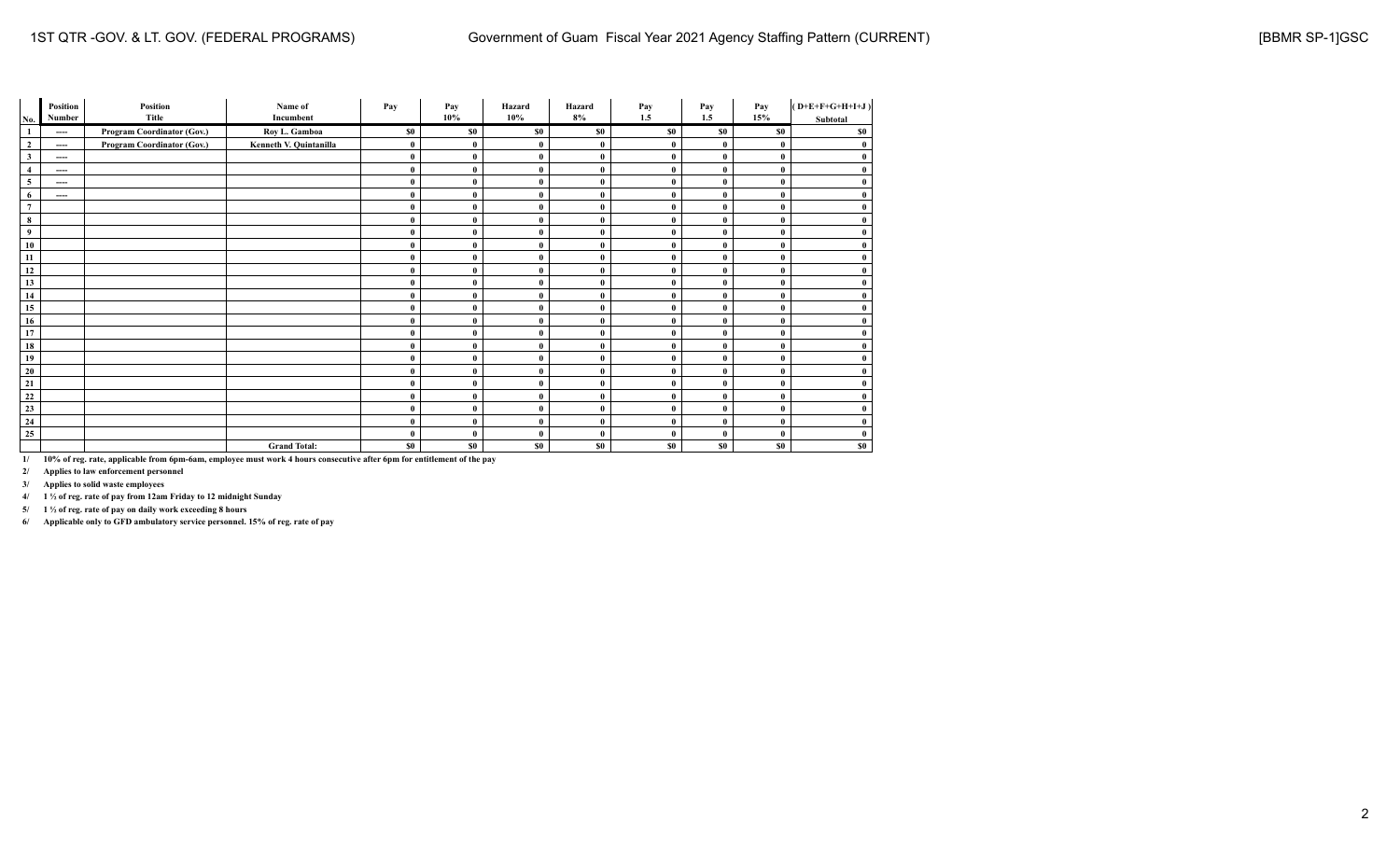| No.             | Position<br>Number | Position<br>Title          | Name of<br>Incumbent   | Pay          | Pay<br>10% | Hazard<br>10% | Hazard<br>8% | Pay<br>1.5   | Pay<br>1.5   | Pay<br>15%   | $(D+E+F+G+H+I+J)$<br>Subtotal |
|-----------------|--------------------|----------------------------|------------------------|--------------|------------|---------------|--------------|--------------|--------------|--------------|-------------------------------|
| -1              | ----               | Program Coordinator (Gov.) | Roy L. Gamboa          | \$0          | \$0        | \$0           | \$0          | \$0          | \$0          | \$0          | \$0                           |
| $\overline{2}$  | ----               | Program Coordinator (Gov.) | Kenneth V. Quintanilla | $\bf{0}$     | $\bf{0}$   | $\mathbf{0}$  | $\bf{0}$     | $\bf{0}$     | $\bf{0}$     | $\mathbf{0}$ | $\bf{0}$                      |
| $\mathbf{3}$    | ----               |                            |                        | $\bf{0}$     | $\bf{0}$   | $\mathbf{0}$  | $\bf{0}$     | $\mathbf{0}$ | $\bf{0}$     | $\theta$     | $\bf{0}$                      |
| $\overline{4}$  | ----               |                            |                        | $\bf{0}$     | $\bf{0}$   | $\mathbf{0}$  | $\bf{0}$     | $\mathbf{0}$ | $\bf{0}$     | $\theta$     | $\bf{0}$                      |
| 5               | ----               |                            |                        | $\bf{0}$     | $\bf{0}$   | $\mathbf{0}$  | $\bf{0}$     | $\mathbf{0}$ | $\bf{0}$     | $\theta$     | $\bf{0}$                      |
| 6               | ----               |                            |                        | $\bf{0}$     | $\bf{0}$   | $\bf{0}$      | $\bf{0}$     | $\mathbf{0}$ | $\bf{0}$     | $\bf{0}$     | $\bf{0}$                      |
| $7\phantom{.0}$ |                    |                            |                        | $\bf{0}$     | $\bf{0}$   | $\mathbf{0}$  | $\bf{0}$     | $\bf{0}$     | $\bf{0}$     | $\theta$     | $\bf{0}$                      |
| 8               |                    |                            |                        | $\bf{0}$     | $\bf{0}$   | $\mathbf{0}$  | $\bf{0}$     | $\mathbf{0}$ | $\bf{0}$     | $\theta$     | $\bf{0}$                      |
| 9               |                    |                            |                        | $\bf{0}$     | $\bf{0}$   | $\mathbf{0}$  | $\bf{0}$     | $\theta$     | $\mathbf{0}$ | $\theta$     | $\bf{0}$                      |
| 10              |                    |                            |                        | $\bf{0}$     | $\bf{0}$   | $\mathbf{0}$  | $\mathbf{0}$ | $\theta$     | $\mathbf{0}$ | $\theta$     | $\bf{0}$                      |
| 11              |                    |                            |                        | $\bf{0}$     | $\bf{0}$   | $\mathbf{0}$  | $\bf{0}$     | $\mathbf{0}$ | $\bf{0}$     | $\theta$     | $\bf{0}$                      |
| 12              |                    |                            |                        | $\bf{0}$     | $\bf{0}$   | $\mathbf{0}$  | $\bf{0}$     | $\bf{0}$     | $\bf{0}$     | $\theta$     | $\bf{0}$                      |
| 13              |                    |                            |                        | $\mathbf{0}$ | $\bf{0}$   | $\mathbf{0}$  | $\mathbf{0}$ | $\bf{0}$     | $\bf{0}$     | $\theta$     | $\bf{0}$                      |
| 14              |                    |                            |                        | $\bf{0}$     | $\bf{0}$   | $\mathbf{0}$  | $\bf{0}$     | $\bf{0}$     | $\bf{0}$     | $\theta$     | $\bf{0}$                      |
| 15              |                    |                            |                        | $\bf{0}$     | $\bf{0}$   | $\mathbf{0}$  | $\bf{0}$     | $\mathbf{0}$ | $\bf{0}$     | $\theta$     | $\bf{0}$                      |
| 16              |                    |                            |                        | $\bf{0}$     | $\bf{0}$   | $\theta$      | $\bf{0}$     | $\bf{0}$     | $\bf{0}$     | $\theta$     | $\bf{0}$                      |
| 17              |                    |                            |                        | $\bf{0}$     | $\bf{0}$   | $\bf{0}$      | $\bf{0}$     | $\bf{0}$     | $\bf{0}$     | $\bf{0}$     | $\bf{0}$                      |
| 18              |                    |                            |                        | $\bf{0}$     | $\bf{0}$   | $\mathbf{0}$  | $\bf{0}$     | $\bf{0}$     | $\bf{0}$     | $\theta$     | $\bf{0}$                      |
| 19              |                    |                            |                        | $\mathbf{0}$ | $\bf{0}$   | $\mathbf{0}$  | $\bf{0}$     | $\mathbf{0}$ | $\bf{0}$     | $\mathbf{0}$ | $\bf{0}$                      |
| 20              |                    |                            |                        | $\bf{0}$     | $\bf{0}$   | $\mathbf{0}$  | $\bf{0}$     | $\mathbf{0}$ | $\bf{0}$     | $\theta$     | $\bf{0}$                      |
| 21              |                    |                            |                        | $\mathbf{0}$ | $\bf{0}$   | $\mathbf{0}$  | $\bf{0}$     | $\mathbf{0}$ | $\bf{0}$     | $\theta$     | $\bf{0}$                      |
| 22              |                    |                            |                        | $\mathbf{0}$ | $\bf{0}$   | $\mathbf{0}$  | $\bf{0}$     | $\mathbf{0}$ | $\bf{0}$     | $\mathbf{0}$ | $\bf{0}$                      |
| 23              |                    |                            |                        | $\bf{0}$     | $\bf{0}$   | $\mathbf{0}$  | $\bf{0}$     | $\mathbf{0}$ | $\bf{0}$     | $\bf{0}$     | $\bf{0}$                      |
| 24              |                    |                            |                        | $\mathbf{0}$ | $\bf{0}$   | $\mathbf{0}$  | $\mathbf{0}$ | $\mathbf{0}$ | $\bf{0}$     | $\theta$     | $\bf{0}$                      |
| 25              |                    |                            |                        | $\bf{0}$     | $\bf{0}$   | $\mathbf{0}$  | $\bf{0}$     | $\mathbf{0}$ | $\bf{0}$     | $\theta$     | $\bf{0}$                      |
|                 |                    |                            | <b>Grand Total:</b>    | \$0          | \$0        | \$0           | \$0          | \$0          | \$0\$        | \$0          | \$0                           |

**2/ Applies to law enforcement personnel**

**3/ Applies to solid waste employees**

**4/ 1 ½ of reg. rate of pay from 12am Friday to 12 midnight Sunday**

**5/ 1 ½ of reg. rate of pay on daily work exceeding 8 hours**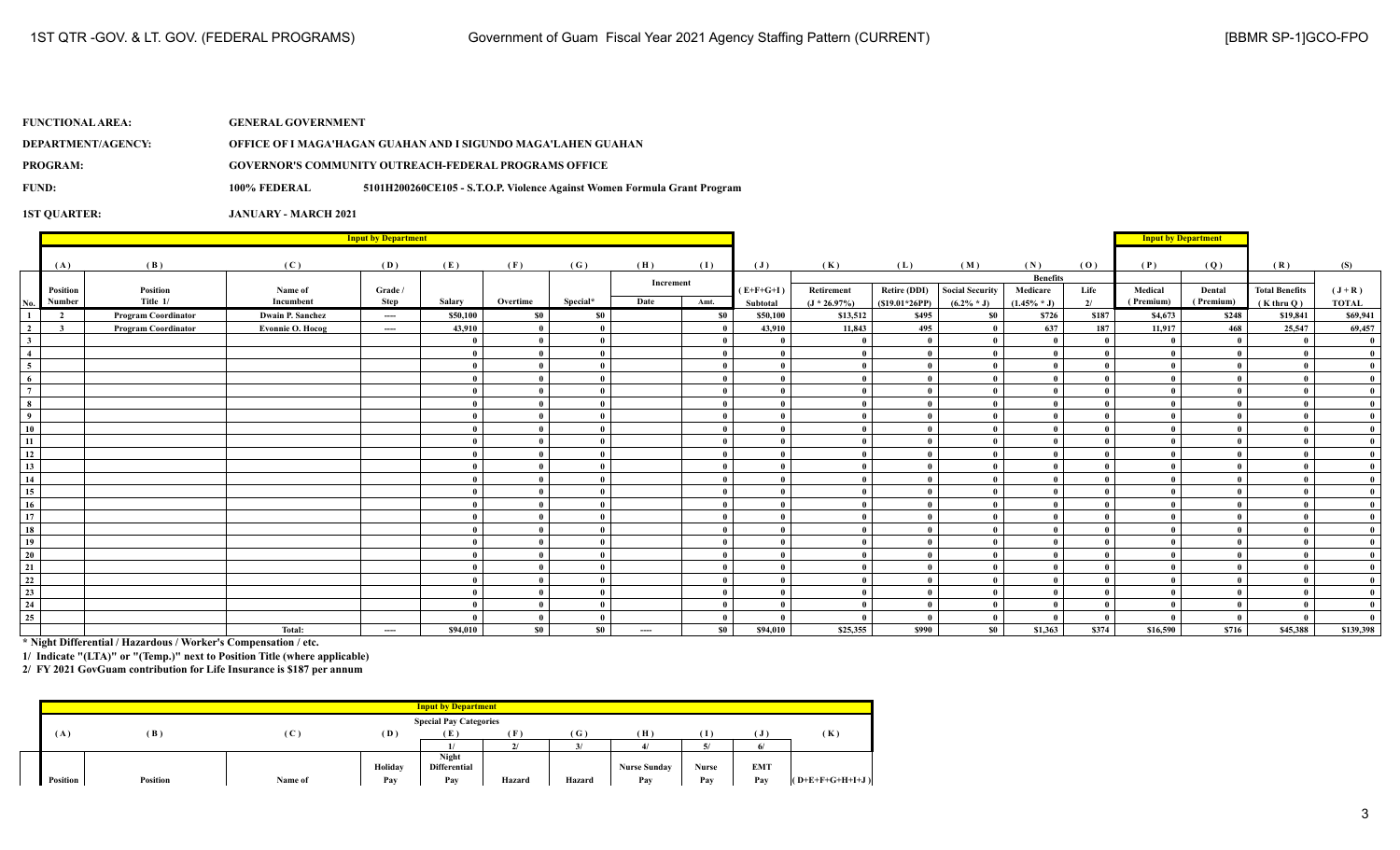| <b>FUNCTIONAL AREA:</b> | <b>GENERAL GOVERNMENT</b> |                                                                          |
|-------------------------|---------------------------|--------------------------------------------------------------------------|
| DEPARTMENT/AGENCY:      |                           | OFFICE OF I MAGA'HAGAN GUAHAN AND I SIGUNDO MAGA'LAHEN GUAHAN            |
| PROGRAM:                |                           | <b>GOVERNOR'S COMMUNITY OUTREACH-FEDERAL PROGRAMS OFFICE</b>             |
| FUND:                   | 100% FEDERAL              | 5101H200260CE105 - S.T.O.P. Violence Against Women Formula Grant Program |
|                         |                           |                                                                          |

|                         |                         |                            | <b>Input by Department</b> |         |          |                |              |           |      |             | <b>Input by Department</b> |                     |                        |                 |       |           |              |                       |              |
|-------------------------|-------------------------|----------------------------|----------------------------|---------|----------|----------------|--------------|-----------|------|-------------|----------------------------|---------------------|------------------------|-----------------|-------|-----------|--------------|-----------------------|--------------|
|                         |                         |                            |                            |         |          |                |              |           |      |             |                            |                     |                        |                 |       |           |              |                       |              |
|                         | (A)                     | (B)                        | (C)                        | (D)     | (E)      | (F)            | (G)          | (H)       | (1)  | (J)         | (K)                        | (L)                 | (M)                    | (N)             | (0)   | (P)       | (Q)          | (R)                   | (S)          |
|                         |                         |                            |                            |         |          |                |              | Increment |      |             |                            |                     |                        | <b>Benefits</b> |       |           |              |                       |              |
|                         | Position                | Position                   | Name of                    | Grade / |          |                |              |           |      | $(E+F+G+I)$ | Retirement                 | <b>Retire (DDI)</b> | <b>Social Security</b> | Medicare        | Life  | Medical   | Dental       | <b>Total Benefits</b> | $(J+R)$      |
| No.                     | Number                  | Title 1/                   | Incumbent                  | Step    | Salary   | Overtime       | Special*     | Date      | Amt. | Subtotal    | $(J * 26.97\%)$            | $(S19.01*26PP)$     | $(6.2\% * J)$          | $(1.45\% * J)$  | 2/    | (Premium) | (Premium)    | $(K$ thru $O)$        | <b>TOTAL</b> |
| $\mathbf{1}$            | $\overline{2}$          | <b>Program Coordinator</b> | <b>Dwain P. Sanchez</b>    | $---$   | \$50,100 | S <sub>0</sub> | \$0          |           | \$0  | \$50,100    | \$13,512                   | \$495               | S <sub>0</sub>         | \$726           | \$187 | \$4,673   | \$248        | \$19,841              | \$69,941     |
| $\overline{\mathbf{2}}$ | $\overline{\mathbf{3}}$ | <b>Program Coordinator</b> | Evonnie O. Hocog           | $---$   | 43,910   | $\bf{0}$       | $\mathbf{0}$ |           |      | 43,910      | 11,843                     | 495                 |                        | 637             | 187   | 11,917    | 468          | 25,547                | 69,457       |
| $\mathbf{3}$            |                         |                            |                            |         |          | $\mathbf{0}$   | $\mathbf{0}$ |           |      | - 0         | $\theta$                   | $\mathbf{0}$        |                        | $\theta$        |       | - 0       | $\mathbf{0}$ |                       |              |
| $\overline{4}$          |                         |                            |                            |         |          | $\mathbf{0}$   | $\mathbf{0}$ |           |      |             | $\theta$                   | $\theta$            |                        | $\theta$        |       |           |              |                       |              |
| $\overline{5}$          |                         |                            |                            |         |          | $\mathbf{0}$   | $\mathbf{0}$ |           |      |             |                            |                     |                        | $\theta$        |       |           |              |                       |              |
| $\overline{6}$          |                         |                            |                            |         |          | - 0            | $\mathbf{0}$ |           |      |             |                            |                     |                        | $\theta$        |       |           |              |                       |              |
| $\overline{7}$          |                         |                            |                            |         |          | $\mathbf{0}$   | $\mathbf{0}$ |           |      |             |                            |                     |                        | $\theta$        |       |           |              |                       |              |
| $\overline{\mathbf{8}}$ |                         |                            |                            |         |          | $\mathbf{0}$   | $\mathbf{0}$ |           |      |             | $\mathbf{0}$               |                     |                        | $\mathbf{0}$    |       |           |              |                       |              |
| $\overline{9}$          |                         |                            |                            |         |          | $\bf{0}$       | $\mathbf{0}$ |           |      |             | $\mathbf{0}$               |                     |                        | $\mathbf{0}$    |       |           |              |                       |              |
| $\overline{10}$         |                         |                            |                            |         |          | $\bf{0}$       | $\mathbf{0}$ |           |      |             | $\theta$                   |                     |                        | $\theta$        |       |           |              |                       |              |
| $\overline{11}$         |                         |                            |                            |         |          | $\mathbf{0}$   | $\mathbf{0}$ |           |      |             | $\theta$                   | $\mathbf{0}$        |                        | $\theta$        |       |           |              |                       |              |
| $\frac{1}{12}$          |                         |                            |                            |         |          | $\mathbf{0}$   | $\mathbf{0}$ |           |      |             | $\theta$                   |                     |                        | $\theta$        |       |           |              |                       |              |
| 13                      |                         |                            |                            |         |          | $\mathbf{0}$   | $\mathbf{0}$ |           |      |             |                            |                     |                        | $\theta$        |       |           |              |                       |              |
| 14                      |                         |                            |                            |         |          | - 0            | $\mathbf{0}$ |           |      |             |                            |                     |                        |                 |       |           |              |                       |              |
| $\overline{15}$         |                         |                            |                            |         |          | $\theta$       | $\mathbf{0}$ |           |      |             |                            |                     |                        |                 |       |           |              |                       |              |
| $\overline{16}$         |                         |                            |                            |         |          | $\mathbf{0}$   | $\bf{0}$     |           |      |             | $\theta$                   |                     |                        | $\mathbf{0}$    |       |           |              |                       |              |
| $\overline{17}$         |                         |                            |                            |         |          | $\mathbf{0}$   | $\mathbf{0}$ |           |      |             |                            |                     |                        | $\mathbf{0}$    |       |           |              |                       |              |
| $\overline{18}$         |                         |                            |                            |         |          | $\mathbf{0}$   | $\mathbf{0}$ |           |      |             |                            |                     |                        | $\theta$        |       |           |              |                       |              |
| 19                      |                         |                            |                            |         |          | $\bf{0}$       | $\mathbf{0}$ |           |      |             |                            |                     |                        | $\theta$        |       |           |              |                       |              |
| $\overline{20}$         |                         |                            |                            |         |          | $\mathbf{0}$   | $\mathbf{0}$ |           |      | $\theta$    | $\theta$                   | $\mathbf{0}$        |                        | $\theta$        |       |           |              |                       |              |
| $\overline{21}$         |                         |                            |                            |         | $\theta$ | $\mathbf{0}$   | $\mathbf{0}$ |           |      |             | $\theta$                   | $\mathbf{0}$        |                        | $\theta$        |       |           |              |                       |              |
|                         |                         |                            |                            |         |          | - 0            | $\mathbf{0}$ |           |      |             | $\theta$                   |                     |                        | $\mathbf{0}$    |       |           |              |                       |              |
| $\frac{22}{23}$         |                         |                            |                            |         |          | $\mathbf{0}$   | $\mathbf{0}$ |           |      |             | $\theta$                   |                     |                        | $\mathbf{a}$    |       |           |              |                       |              |
| $\overline{24}$         |                         |                            |                            |         |          | $\mathbf{0}$   | $\bf{0}$     |           |      |             | $\theta$                   |                     |                        | $\mathbf{0}$    |       |           |              |                       |              |
| $\overline{25}$         |                         |                            |                            |         |          | $\mathbf{0}$   | $\mathbf{0}$ |           |      |             |                            |                     |                        |                 |       |           |              |                       |              |
|                         |                         |                            | Total:                     | $---$   | \$94,010 | \$0            | \$0          | $\cdots$  | \$0  | \$94,010    | \$25,355                   | \$990               | S <sub>0</sub>         | \$1,363         | \$374 | \$16,590  | \$716        | \$45,388              | \$139,398    |

**\* Night Differential / Hazardous / Worker's Compensation / etc.**

**1/ Indicate "(LTA)" or "(Temp.)" next to Position Title (where applicable)**

|                 |                 |              |         | <b>Input by Department</b>    |        |              |                     |       |                 |                   |
|-----------------|-----------------|--------------|---------|-------------------------------|--------|--------------|---------------------|-------|-----------------|-------------------|
|                 |                 |              |         |                               |        |              |                     |       |                 |                   |
|                 |                 |              |         | <b>Special Pay Categories</b> |        |              |                     |       |                 |                   |
| (A)             | (B)             | $\mathbf{C}$ | (D)     |                               | ſF     | (G)          | (H)                 |       |                 | (K)               |
|                 |                 |              |         |                               |        | $\mathbf{z}$ |                     |       | $\epsilon$<br>n |                   |
|                 |                 |              |         | Night                         |        |              |                     |       |                 |                   |
|                 |                 |              | Holiday | <b>Differential</b>           |        |              | <b>Nurse Sunday</b> | Nurse | <b>EMT</b>      |                   |
| <b>Position</b> | <b>Position</b> | Name of      | Pay     | Pay                           | Hazard | Hazard       | Pav                 | Pay   | Pay             | $(O+E+F+G+H+I+J)$ |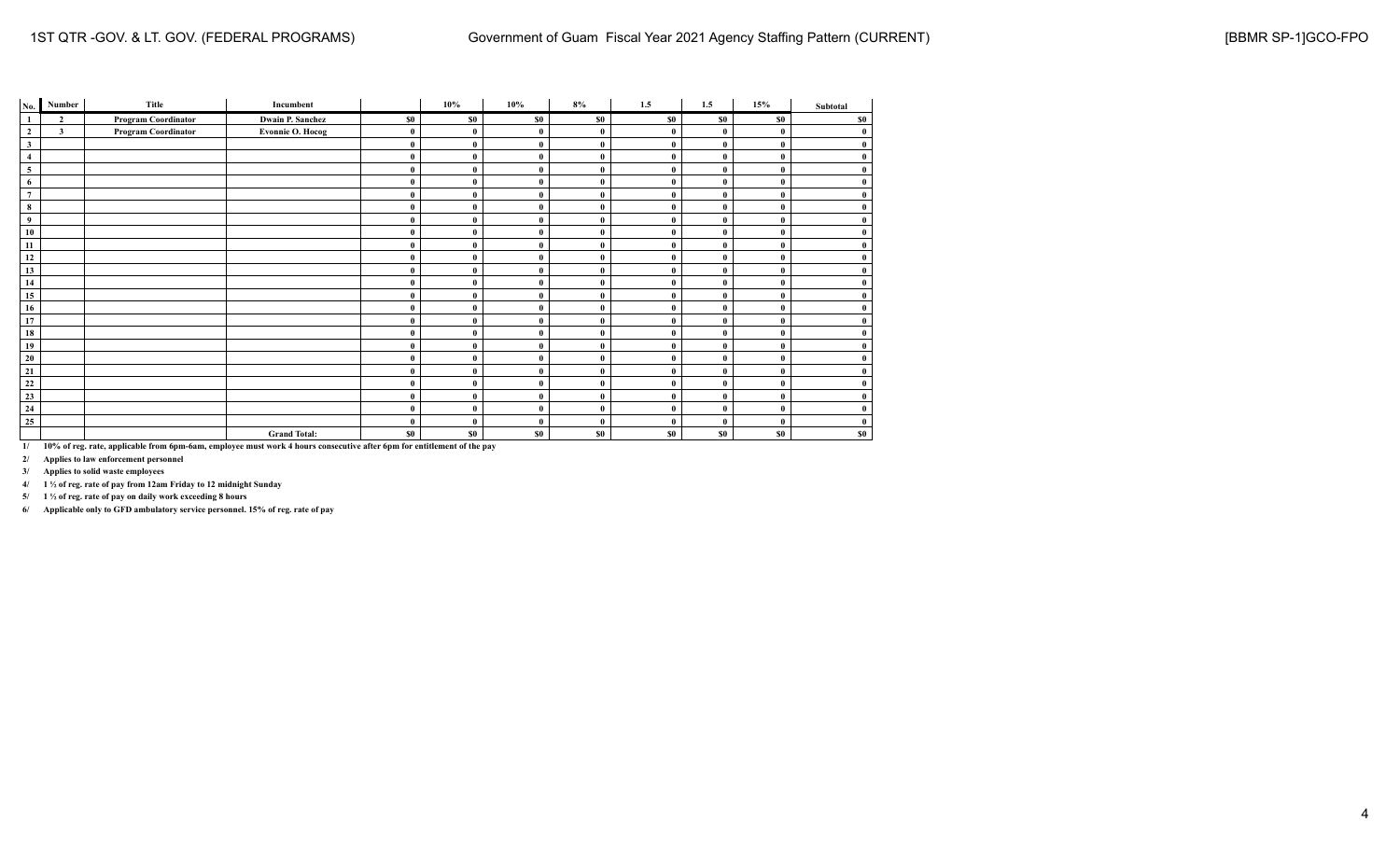| No.            | Number                  | Title                      | Incumbent               |          | $10\%$       | 10%          | 8%           | 1.5      | 1.5      | 15%            | Subtotal     |
|----------------|-------------------------|----------------------------|-------------------------|----------|--------------|--------------|--------------|----------|----------|----------------|--------------|
| $\mathbf{1}$   | $\overline{2}$          | <b>Program Coordinator</b> | <b>Dwain P. Sanchez</b> | \$0      | \$0          | \$0          | \$0          | \$0      | \$0      | S <sub>0</sub> | \$0          |
| $\mathbf{2}$   | $\overline{\mathbf{3}}$ | <b>Program Coordinator</b> | <b>Evonnie O. Hocog</b> | $\bf{0}$ | $\mathbf{0}$ | $\mathbf{0}$ | $\mathbf{0}$ | $\theta$ | $\theta$ |                | $\bf{0}$     |
| $\mathbf{3}$   |                         |                            |                         | $\bf{0}$ | $\theta$     | $\mathbf{0}$ | $\mathbf{0}$ | $\bf{0}$ | $\theta$ |                | $\bf{0}$     |
| $\overline{4}$ |                         |                            |                         | $\bf{0}$ | $\mathbf 0$  | $\mathbf{0}$ | $\bf{0}$     | $\theta$ | $\theta$ |                | $\mathbf{0}$ |
| 5              |                         |                            |                         | $\bf{0}$ |              | $\bf{0}$     | $\mathbf{0}$ | $\bf{0}$ | $\bf{0}$ |                | $\bf{0}$     |
| 6              |                         |                            |                         | $\bf{0}$ | $\theta$     | $\mathbf{0}$ | $\mathbf{0}$ | $\theta$ | $\theta$ |                | $\bf{0}$     |
| $\overline{7}$ |                         |                            |                         | $\bf{0}$ | $\theta$     | $\mathbf{0}$ | $\mathbf{0}$ | $\theta$ | $\theta$ |                | $\bf{0}$     |
| 8              |                         |                            |                         | $\bf{0}$ | $\theta$     | $\mathbf{0}$ | $\mathbf{0}$ | $\theta$ | $\theta$ |                | $\bf{0}$     |
| 9              |                         |                            |                         | $\bf{0}$ | $\mathbf 0$  | $\mathbf{0}$ | $\mathbf{0}$ | $\theta$ | $\theta$ |                | $\bf{0}$     |
| 10             |                         |                            |                         | $\bf{0}$ |              | $\mathbf{0}$ | $\bf{0}$     | $\bf{0}$ | $\bf{0}$ |                | $\bf{0}$     |
| 11             |                         |                            |                         | $\bf{0}$ | $\mathbf{0}$ | $\mathbf{0}$ | $\bf{0}$     | $\bf{0}$ | $\bf{0}$ |                | $\bf{0}$     |
| 12             |                         |                            |                         | $\bf{0}$ | $\theta$     | $\mathbf{0}$ | $\theta$     | $\theta$ | $\theta$ |                | $\bf{0}$     |
| 13             |                         |                            |                         | $\bf{0}$ | $\theta$     | $\mathbf{0}$ | $\bf{0}$     | $\theta$ | $\theta$ |                | $\bf{0}$     |
| 14             |                         |                            |                         | $\bf{0}$ | $\mathbf 0$  | $\mathbf{0}$ | $\mathbf{0}$ | $\bf{0}$ | $\bf{0}$ |                | $\bf{0}$     |
| 15             |                         |                            |                         | $\bf{0}$ | $\theta$     | $\mathbf{0}$ | $\mathbf{0}$ | $\theta$ | $\theta$ |                | $\bf{0}$     |
| 16             |                         |                            |                         | $\bf{0}$ | $\mathbf{0}$ | $\mathbf{0}$ | $\bf{0}$     | $\theta$ | $\theta$ |                | $\bf{0}$     |
| 17             |                         |                            |                         | $\bf{0}$ | $\theta$     | $\mathbf{0}$ | $\mathbf{0}$ | $\bf{0}$ | $\theta$ |                | $\bf{0}$     |
| 18             |                         |                            |                         | $\bf{0}$ | $\theta$     | $\mathbf{0}$ | $\mathbf{0}$ | $\bf{0}$ | $\theta$ |                | $\bf{0}$     |
| 19             |                         |                            |                         | $\bf{0}$ | $\theta$     | $\mathbf{0}$ | $\bf{0}$     | $\bf{0}$ | $\theta$ |                | $\bf{0}$     |
| 20             |                         |                            |                         | $\bf{0}$ | $\theta$     | $\mathbf{0}$ | $\theta$     | $\theta$ | $\theta$ |                | $\bf{0}$     |
| 21             |                         |                            |                         | $\bf{0}$ | $\theta$     | $\mathbf{0}$ | $\mathbf{0}$ | $\theta$ | $\theta$ |                | $\bf{0}$     |
| 22             |                         |                            |                         | $\bf{0}$ | $\theta$     | $\mathbf{0}$ | $\mathbf{0}$ | $\theta$ | $\theta$ |                | $\bf{0}$     |
| 23             |                         |                            |                         | $\bf{0}$ |              | $\mathbf{0}$ | $\mathbf{0}$ | $\theta$ | $\theta$ |                | $\bf{0}$     |
| 24             |                         |                            |                         | $\bf{0}$ | $\theta$     | $\mathbf{0}$ | $\mathbf{0}$ | $\bf{0}$ | $\bf{0}$ |                | $\bf{0}$     |
| 25             |                         |                            |                         | $\bf{0}$ | $\theta$     | $\mathbf{0}$ | $\bf{0}$     | $\theta$ | $\theta$ |                | $\bf{0}$     |
|                |                         |                            | <b>Grand Total:</b>     | \$0      | \$0          | \$0          | \$0          | \$0      | \$0      | \$0            | \$0          |

**2/ Applies to law enforcement personnel**

**3/ Applies to solid waste employees**

**4/ 1 ½ of reg. rate of pay from 12am Friday to 12 midnight Sunday**

**5/ 1 ½ of reg. rate of pay on daily work exceeding 8 hours**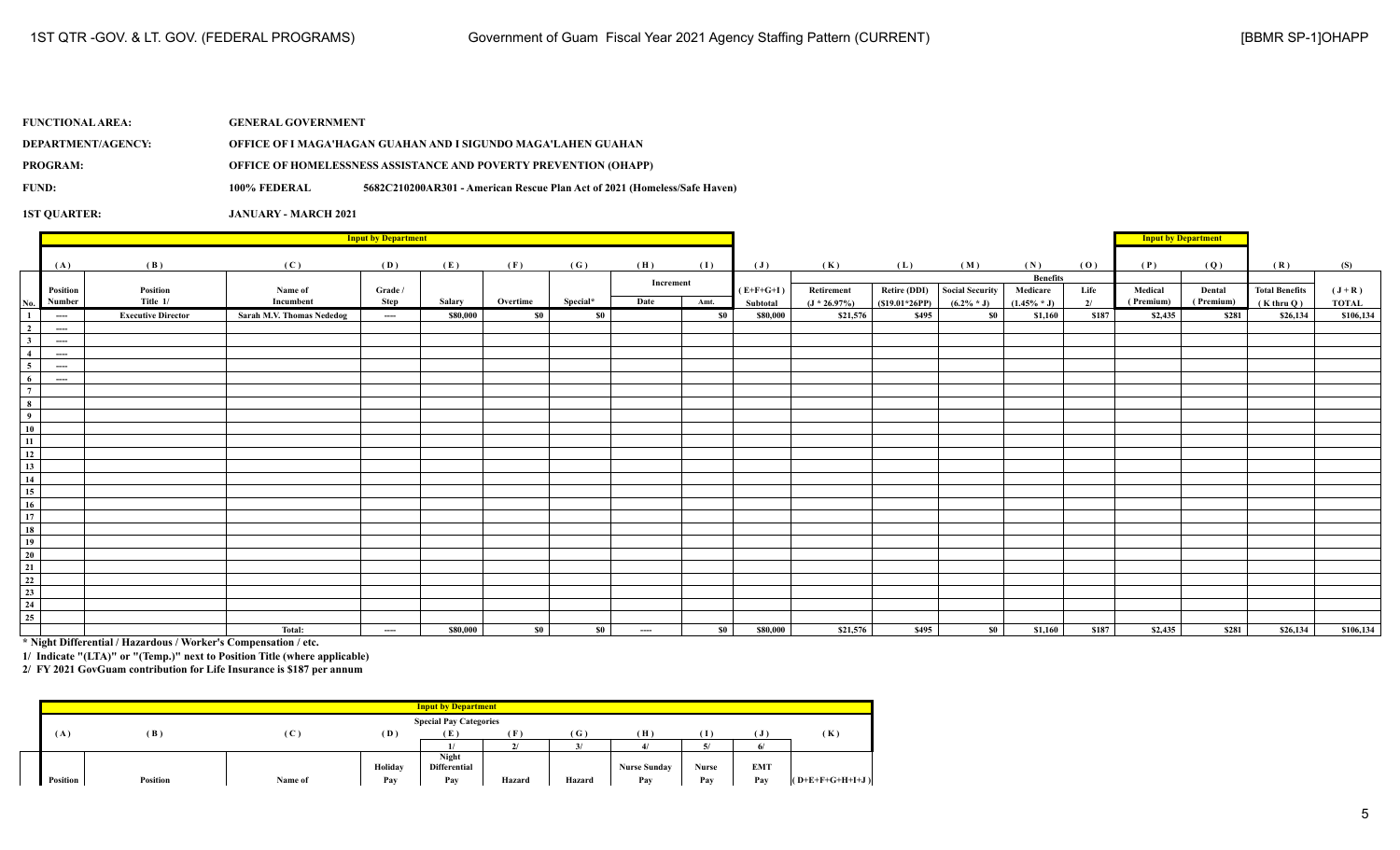| <b>FUNCTIONAL AREA:</b> | <b>GENERAL GOVERNMENT</b> |                                                                           |
|-------------------------|---------------------------|---------------------------------------------------------------------------|
| DEPARTMENT/AGENCY:      |                           | OFFICE OF I MAGA'HAGAN GUAHAN AND I SIGUNDO MAGA'LAHEN GUAHAN             |
| <b>PROGRAM:</b>         |                           | <b>OFFICE OF HOMELESSNESS ASSISTANCE AND POVERTY PREVENTION (OHAPP)</b>   |
| FUND:                   | 100% FEDERAL              | 5682C210200AR301 - American Rescue Plan Act of 2021 (Homeless/Safe Haven) |
|                         |                           |                                                                           |

|                                                                                       |          | <b>Input by Department</b> |                                  |          |          |          |          |           |           |                |                 |                     |                 |                 |       | <b>Input by Department</b> |           |                       |              |
|---------------------------------------------------------------------------------------|----------|----------------------------|----------------------------------|----------|----------|----------|----------|-----------|-----------|----------------|-----------------|---------------------|-----------------|-----------------|-------|----------------------------|-----------|-----------------------|--------------|
|                                                                                       |          | (B)                        |                                  |          |          |          |          | (H)       |           |                |                 |                     |                 | (N)             |       | (P)                        |           | (R)                   |              |
|                                                                                       | (A)      |                            | (C)                              | (D)      | (E)      | (F)      | (G)      |           | (I)       | $(\mathbf{J})$ | (K)             | (L)                 | (M)             | <b>Benefits</b> | (0)   |                            | (Q)       |                       | (S)          |
|                                                                                       | Position | Position                   | Name of                          | Grade /  |          |          |          | Increment |           | $(E+F+G+I)$    | Retirement      | <b>Retire (DDI)</b> | Social Security | Medicare        | Life  | Medical                    | Dental    | <b>Total Benefits</b> | $(J+R)$      |
| No.                                                                                   | Number   | Title 1/                   | Incumbent                        | Step     | Salary   | Overtime | Special* | Date      | Amt.      | Subtotal       | $(J * 26.97\%)$ | $(S19.01*26PP)$     | $(6.2\% * J)$   | $(1.45\% * J)$  | 2/    | (Premium)                  | (Premium) | $(K$ thru Q)          | <b>TOTAL</b> |
| $\mathbf{1}$                                                                          | $\cdots$ | <b>Executive Director</b>  | <b>Sarah M.V. Thomas Nededog</b> | $\cdots$ | \$80,000 | - so 1   | \$0      |           | <b>SO</b> | \$80,000       | \$21,576        | \$495               | \$0             | \$1,160         | \$187 | \$2,435                    | \$281     | \$26,134              | \$106,134    |
| $\overline{2}$                                                                        | $\cdots$ |                            |                                  |          |          |          |          |           |           |                |                 |                     |                 |                 |       |                            |           |                       |              |
| 3 <sup>1</sup>                                                                        | $\cdots$ |                            |                                  |          |          |          |          |           |           |                |                 |                     |                 |                 |       |                            |           |                       |              |
| $\overline{4}$                                                                        | $---$    |                            |                                  |          |          |          |          |           |           |                |                 |                     |                 |                 |       |                            |           |                       |              |
| $\overline{5}$                                                                        | $\cdots$ |                            |                                  |          |          |          |          |           |           |                |                 |                     |                 |                 |       |                            |           |                       |              |
| 6                                                                                     | $\cdots$ |                            |                                  |          |          |          |          |           |           |                |                 |                     |                 |                 |       |                            |           |                       |              |
| $\overline{7}$                                                                        |          |                            |                                  |          |          |          |          |           |           |                |                 |                     |                 |                 |       |                            |           |                       |              |
|                                                                                       |          |                            |                                  |          |          |          |          |           |           |                |                 |                     |                 |                 |       |                            |           |                       |              |
| $\frac{8}{9}$<br>10<br>11<br>11                                                       |          |                            |                                  |          |          |          |          |           |           |                |                 |                     |                 |                 |       |                            |           |                       |              |
|                                                                                       |          |                            |                                  |          |          |          |          |           |           |                |                 |                     |                 |                 |       |                            |           |                       |              |
|                                                                                       |          |                            |                                  |          |          |          |          |           |           |                |                 |                     |                 |                 |       |                            |           |                       |              |
| $\begin{array}{c}\n\phantom{0}12 \\ \hline\n13 \\ \hline\n14\n\end{array}$            |          |                            |                                  |          |          |          |          |           |           |                |                 |                     |                 |                 |       |                            |           |                       |              |
|                                                                                       |          |                            |                                  |          |          |          |          |           |           |                |                 |                     |                 |                 |       |                            |           |                       |              |
|                                                                                       |          |                            |                                  |          |          |          |          |           |           |                |                 |                     |                 |                 |       |                            |           |                       |              |
| $\overline{15}$                                                                       |          |                            |                                  |          |          |          |          |           |           |                |                 |                     |                 |                 |       |                            |           |                       |              |
| $\overline{16}$                                                                       |          |                            |                                  |          |          |          |          |           |           |                |                 |                     |                 |                 |       |                            |           |                       |              |
|                                                                                       |          |                            |                                  |          |          |          |          |           |           |                |                 |                     |                 |                 |       |                            |           |                       |              |
| $\begin{array}{r} \n \overline{17} \\  \overline{18} \\  \overline{19}\n \end{array}$ |          |                            |                                  |          |          |          |          |           |           |                |                 |                     |                 |                 |       |                            |           |                       |              |
|                                                                                       |          |                            |                                  |          |          |          |          |           |           |                |                 |                     |                 |                 |       |                            |           |                       |              |
| $\frac{1}{20}$                                                                        |          |                            |                                  |          |          |          |          |           |           |                |                 |                     |                 |                 |       |                            |           |                       |              |
|                                                                                       |          |                            |                                  |          |          |          |          |           |           |                |                 |                     |                 |                 |       |                            |           |                       |              |
| $\frac{20}{21}$ $\frac{22}{23}$ $\frac{23}{24}$                                       |          |                            |                                  |          |          |          |          |           |           |                |                 |                     |                 |                 |       |                            |           |                       |              |
|                                                                                       |          |                            |                                  |          |          |          |          |           |           |                |                 |                     |                 |                 |       |                            |           |                       |              |
|                                                                                       |          |                            |                                  |          |          |          |          |           |           |                |                 |                     |                 |                 |       |                            |           |                       |              |
| 25                                                                                    |          |                            |                                  |          |          |          |          |           |           |                |                 |                     |                 |                 |       |                            |           |                       |              |
|                                                                                       |          |                            | Total:                           | $\cdots$ | \$80,000 | \$0      | $\$0$    | $\cdots$  | $\sim$ 1  | \$80,000       | \$21,576        | \$495               | <b>SO</b>       | \$1,160         | \$187 | \$2,435                    | \$281     | \$26,134              | \$106,134    |

**\* Night Differential / Hazardous / Worker's Compensation / etc.**

**1/ Indicate "(LTA)" or "(Temp.)" next to Position Title (where applicable)**

|          |                 |              |         | <b>Input by Department</b>    |        |        |                     |       |            |                   |
|----------|-----------------|--------------|---------|-------------------------------|--------|--------|---------------------|-------|------------|-------------------|
|          |                 |              |         | <b>Special Pay Categories</b> |        |        |                     |       |            |                   |
| ( A      | (B)             | $\mathbf{C}$ | (D)     | - 12 -                        | ſF.    | (G)    | (H)                 | Т     |            | (K)               |
|          |                 |              |         |                               |        |        |                     |       | 6          |                   |
|          |                 |              |         | Night                         |        |        |                     |       |            |                   |
|          |                 |              | Holiday | <b>Differential</b>           |        |        | <b>Nurse Sunday</b> | Nurse | <b>EMT</b> |                   |
| Position | <b>Position</b> | Name of      | Pay     | Pay                           | Hazard | Hazard | Pay                 | Pav   | Pay        | $(O+E+F+G+H+I+J)$ |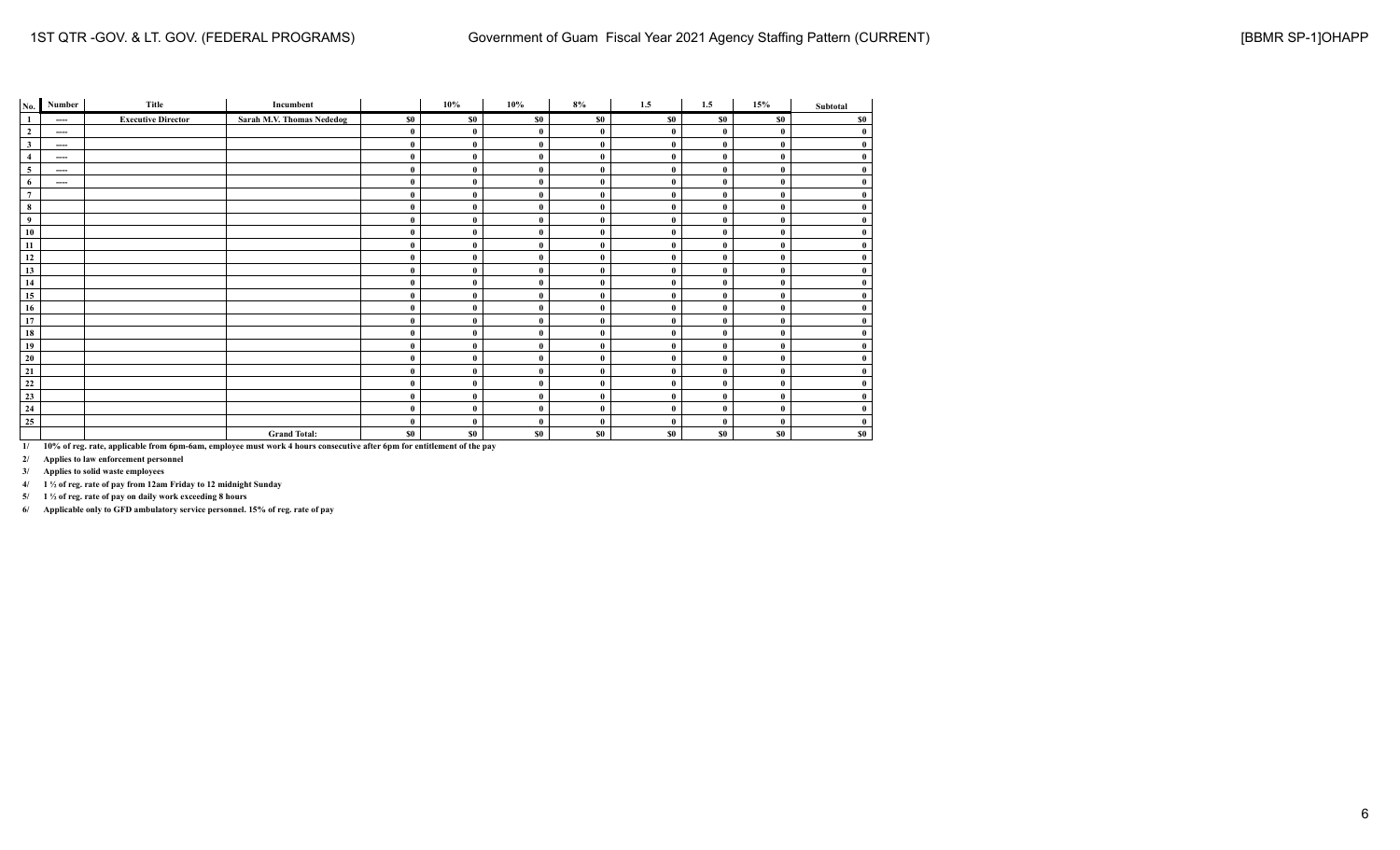| No.                      | Number                 | Title                     | Incumbent                 |          | $10\%$       | 10%          | 8%           | 1.5         | 1.5          | 15%          | Subtotal |
|--------------------------|------------------------|---------------------------|---------------------------|----------|--------------|--------------|--------------|-------------|--------------|--------------|----------|
| $\mathbf{1}$             | $---$                  | <b>Executive Director</b> | Sarah M.V. Thomas Nededog | \$0      | \$0          | \$0          | \$0          | \$0         | <b>SO</b>    | \$0          | \$0      |
| $\overline{\mathbf{c}}$  | $\qquad \qquad \cdots$ |                           |                           | $\bf{0}$ | $\mathbf 0$  | $\mathbf{0}$ | $\bf{0}$     | $\theta$    | $\mathbf{0}$ | $\bf{0}$     | $\bf{0}$ |
| $\mathbf{3}$             | ----                   |                           |                           | $\bf{0}$ | $\mathbf 0$  | $\mathbf{0}$ | $\theta$     | $\theta$    | $\mathbf 0$  | $\bf{0}$     | $\bf{0}$ |
| $\overline{4}$           | ----                   |                           |                           | $\bf{0}$ | $\mathbf 0$  | $\mathbf{0}$ | $\bf{0}$     | $\mathbf 0$ | $\mathbf 0$  | $\mathbf{0}$ | $\bf{0}$ |
| $\overline{\phantom{a}}$ | $---$                  |                           |                           | $\bf{0}$ | $\mathbf{0}$ | $\bf{0}$     | $\bf{0}$     | $\theta$    | 0            | $\mathbf{0}$ | $\bf{0}$ |
| $6\phantom{.}$           | $---$                  |                           |                           | $\bf{0}$ | $\theta$     | $\mathbf{0}$ | $\mathbf{0}$ | $\theta$    | $\theta$     | $\bf{0}$     | $\bf{0}$ |
| $\overline{7}$           |                        |                           |                           | $\bf{0}$ | $\mathbf 0$  | $\mathbf{0}$ | $\bf{0}$     | $\theta$    | $\mathbf 0$  | $\bf{0}$     | $\bf{0}$ |
| $\bf8$                   |                        |                           |                           | $\bf{0}$ | $\theta$     | $\mathbf{0}$ | $\mathbf{0}$ | $\theta$    | $\mathbf 0$  | $\bf{0}$     | $\bf{0}$ |
| $\overline{9}$           |                        |                           |                           | $\bf{0}$ | $\mathbf 0$  | $\mathbf{0}$ | $\bf{0}$     | $\theta$    | $\mathbf 0$  | $\mathbf{0}$ | $\bf{0}$ |
| $10\,$                   |                        |                           |                           | $\bf{0}$ | $\theta$     | $\bf{0}$     | $\bf{0}$     | $\theta$    | $\mathbf{0}$ | $\bf{0}$     | $\bf{0}$ |
| 11                       |                        |                           |                           | $\bf{0}$ | $\mathbf 0$  | $\mathbf{0}$ | $\mathbf{0}$ | $\bf{0}$    | $\mathbf{0}$ | $\bf{0}$     | $\bf{0}$ |
| 12                       |                        |                           |                           | $\bf{0}$ | $\theta$     | $\mathbf{0}$ | $\theta$     | $\theta$    | 0            | $\mathbf{0}$ | $\bf{0}$ |
| 13                       |                        |                           |                           | $\bf{0}$ | $\theta$     | $\mathbf{0}$ | $\mathbf{0}$ | $\theta$    | 0            | $\mathbf{0}$ | $\bf{0}$ |
| 14                       |                        |                           |                           | $\bf{0}$ | $\mathbf{0}$ | $\bf{0}$     | $\bf{0}$     | $\theta$    | $\mathbf{0}$ | $\bf{0}$     | $\bf{0}$ |
| 15                       |                        |                           |                           | $\bf{0}$ | $\mathbf 0$  | $\mathbf{0}$ | $\mathbf{0}$ | $\theta$    | $\mathbf{0}$ | $\bf{0}$     | $\bf{0}$ |
| 16                       |                        |                           |                           | $\bf{0}$ | $\theta$     | $\mathbf{0}$ | $\theta$     | $\theta$    | 0            | $\mathbf{0}$ | $\bf{0}$ |
| 17                       |                        |                           |                           | $\bf{0}$ | $\mathbf 0$  | $\mathbf{0}$ | $\mathbf{0}$ | $\theta$    | 0            | $\bf{0}$     | $\bf{0}$ |
| 18                       |                        |                           |                           | $\bf{0}$ | $\mathbf{0}$ | $\bf{0}$     | $\bf{0}$     | $\bf{0}$    | $\mathbf 0$  | $\bf{0}$     | $\bf{0}$ |
| 19                       |                        |                           |                           | $\bf{0}$ | $\theta$     | $\mathbf{0}$ | $\bf{0}$     | $\theta$    | $\theta$     | $\bf{0}$     | $\bf{0}$ |
| 20                       |                        |                           |                           | $\bf{0}$ | $\mathbf 0$  | $\mathbf{0}$ | $\mathbf{0}$ | $\theta$    | $\mathbf{0}$ | $\mathbf{0}$ | $\bf{0}$ |
| $\overline{21}$          |                        |                           |                           | $\bf{0}$ | $\mathbf 0$  | $\mathbf{0}$ | $\mathbf{0}$ | $\theta$    | $\mathbf{0}$ | $\mathbf{0}$ | $\bf{0}$ |
| $\frac{22}{23}$          |                        |                           |                           | $\bf{0}$ | $\mathbf 0$  | $\mathbf{0}$ | $\bf{0}$     | $\mathbf 0$ | 0            | $\bf{0}$     | $\bf{0}$ |
|                          |                        |                           |                           | $\bf{0}$ | $\theta$     | $\bf{0}$     | $\bf{0}$     | $\bf{0}$    | 0            | $\bf{0}$     | $\bf{0}$ |
| $\overline{24}$          |                        |                           |                           | $\bf{0}$ | $\theta$     | $\bf{0}$     | $\bf{0}$     | $\theta$    | $\mathbf{0}$ | $\bf{0}$     | $\bf{0}$ |
| $\overline{25}$          |                        |                           |                           | $\bf{0}$ | $\theta$     | $\mathbf{0}$ | $\bf{0}$     | $\bf{0}$    | 0            | $\bf{0}$     | $\bf{0}$ |
|                          |                        |                           | <b>Grand Total:</b>       | \$0      | \$0          | \$0          | \$0          | \$0         | \$0          | \$0          | \$0      |

**2/ Applies to law enforcement personnel**

**3/ Applies to solid waste employees**

**4/ 1 ½ of reg. rate of pay from 12am Friday to 12 midnight Sunday**

**5/ 1 ½ of reg. rate of pay on daily work exceeding 8 hours**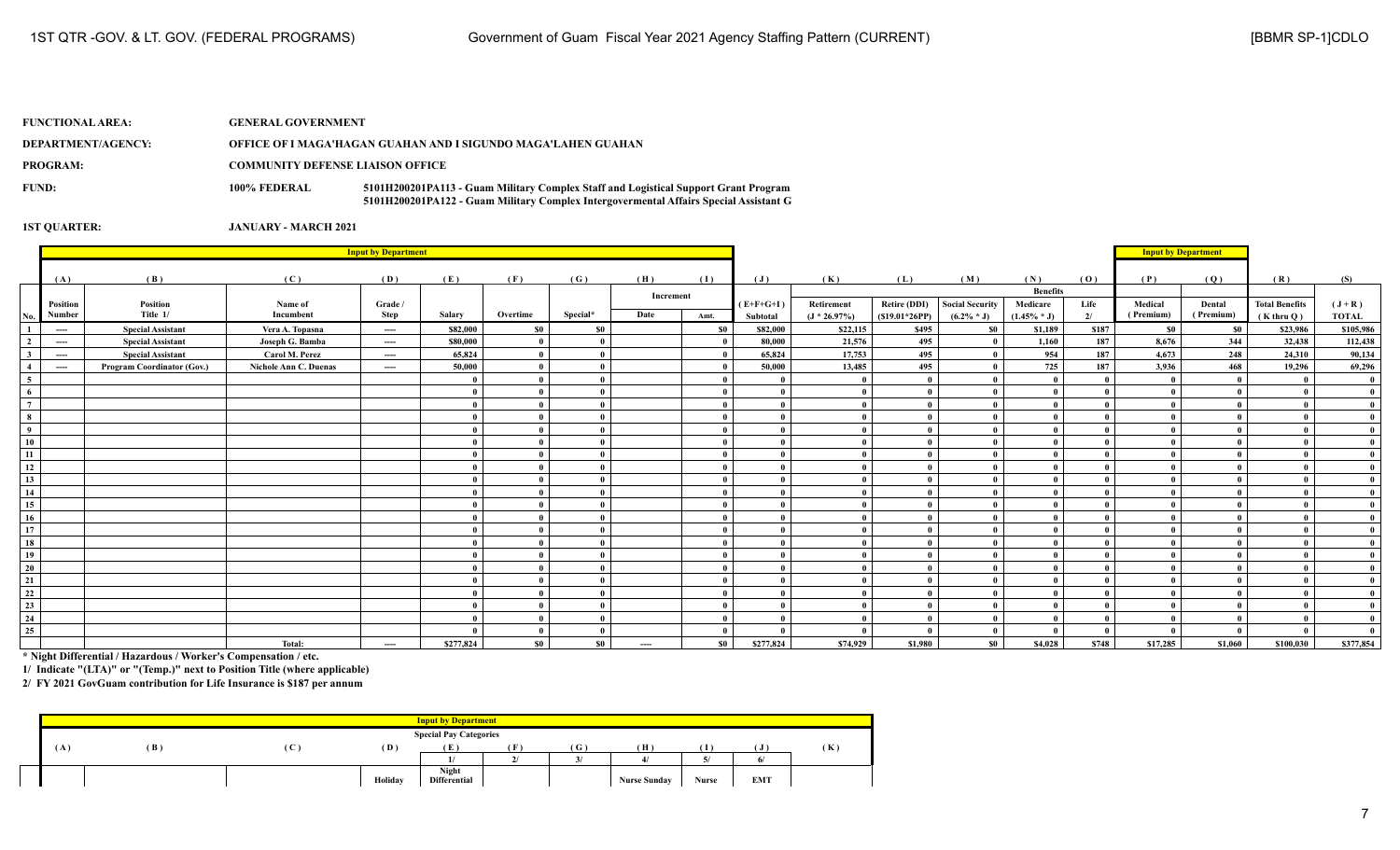| <b>FUNCTIONAL AREA:</b> | <b>GENERAL GOVERNMENT</b>               |                                                                                                                                                                              |  |  |  |  |  |
|-------------------------|-----------------------------------------|------------------------------------------------------------------------------------------------------------------------------------------------------------------------------|--|--|--|--|--|
| DEPARTMENT/AGENCY:      |                                         | OFFICE OF I MAGA'HAGAN GUAHAN AND I SIGUNDO MAGA'LAHEN GUAHAN                                                                                                                |  |  |  |  |  |
| PROGRAM:                | <b>COMMUNITY DEFENSE LIAISON OFFICE</b> |                                                                                                                                                                              |  |  |  |  |  |
| FUND:                   | 100% FEDERAL                            | 5101H200201PA113 - Guam Military Complex Staff and Logistical Support Grant Program<br>5101H200201PA122 - Guam Military Complex Intergovermental Affairs Special Assistant G |  |  |  |  |  |

|                                | <b>Input by Department</b>                                   |                                                      |                                    |                 |              |                |          |           |           |                    |                    |                     |                                 | <b>Input by Department</b> |             |                      |                     |                            |                      |
|--------------------------------|--------------------------------------------------------------|------------------------------------------------------|------------------------------------|-----------------|--------------|----------------|----------|-----------|-----------|--------------------|--------------------|---------------------|---------------------------------|----------------------------|-------------|----------------------|---------------------|----------------------------|----------------------|
|                                |                                                              |                                                      |                                    |                 |              |                |          |           |           |                    |                    |                     |                                 |                            |             |                      |                     |                            |                      |
|                                | (A)                                                          | (B)                                                  | (C)                                | (D)             | (E)          | (F)            | (G)      | (H)       | (1)       | $(\mathbf{J})$     | (K)                | (L)                 | (M)                             | (N)                        | (0)         | (P)                  | (Q)                 | (R)                        | (S)                  |
|                                |                                                              |                                                      |                                    |                 |              |                |          | Increment |           |                    |                    |                     |                                 | <b>Benefits</b>            |             |                      |                     |                            |                      |
|                                | Position<br>Number                                           | Position<br>Title 1/                                 | Name of<br>Incumbent               | Grade /<br>Step | Salarv       | Overtime       | Special* | Date      | Amt.      | $(E+F+G+I)$        | Retirement         | <b>Retire (DDI)</b> | <b>Social Security</b>          | Medicare                   | Life        | Medical<br>(Premium) | Dental<br>(Premium) | <b>Total Benefits</b>      | $(J+R)$              |
| No.                            |                                                              |                                                      |                                    |                 | \$82,000     | \$0            | \$0      |           |           | Subtotal           | $(J * 26.97%)$     | $(S19.01*26PP)$     | $(6.2\% * J)$<br>S <sub>0</sub> | $(1.45\% * J)$             | 2/<br>\$187 | \$0                  |                     | $(K$ thru $O)$<br>\$23,986 | <b>TOTAL</b>         |
| $\mathbf{1}$<br>$\overline{2}$ | $---$                                                        | <b>Special Assistant</b><br><b>Special Assistant</b> | Vera A. Topasna<br>Joseph G. Bamba | $\cdots$        | \$80,000     |                |          |           | <b>SO</b> | \$82,000<br>80,000 | \$22,115<br>21,576 | \$495<br>495        |                                 | \$1,189<br>1,160           | 187         | 8,676                | \$0<br>344          | 32,438                     | \$105,986<br>112,438 |
| $\mathbf{3}$                   | $---$<br>$---$                                               | <b>Special Assistant</b>                             | Carol M. Perez                     | ----<br>----    | 65,824       |                |          |           |           | 65,824             | 17,753             | 495                 |                                 | 954                        | 187         | 4,673                | 248                 | 24,310                     | 90,134               |
| $\overline{4}$                 |                                                              | Program Coordinator (Gov.)                           | Nichole Ann C. Duenas              |                 | 50,000       |                |          |           |           | 50,000             | 13,485             | 495                 |                                 | 725                        | 187         | 3,936                | 468                 | 19,296                     | 69,296               |
| $\overline{\phantom{0}}$       | $\hspace{0.1em} \ldots \hspace{0.1em} \ldots \hspace{0.1em}$ |                                                      |                                    | ----            |              |                |          |           |           | $\mathbf{0}$       |                    | $\mathbf{0}$        |                                 | $\mathbf{0}$               |             |                      | $\mathbf{0}$        |                            |                      |
| $6\overline{6}$                |                                                              |                                                      |                                    |                 |              |                |          |           |           | $\mathbf{0}$       | $\overline{0}$     | $\mathbf{0}$        |                                 |                            |             |                      |                     |                            | $\theta$             |
| $7^{\circ}$                    |                                                              |                                                      |                                    |                 |              |                |          |           |           | $\theta$           |                    |                     |                                 | $\mathbf{0}$               |             |                      |                     |                            |                      |
| $\overline{\mathbf{8}}$        |                                                              |                                                      |                                    |                 | $\mathbf{0}$ |                |          |           |           | $\theta$           | $\mathbf{0}$       |                     |                                 | $\mathbf{0}$               |             |                      |                     |                            |                      |
| $\overline{9}$                 |                                                              |                                                      |                                    |                 | $\mathbf{0}$ |                |          |           |           | $\theta$           | $\mathbf{0}$       | $\theta$            |                                 | $\theta$                   |             | $\mathbf{0}$         |                     |                            |                      |
| 10                             |                                                              |                                                      |                                    |                 | $\mathbf{0}$ |                |          |           |           | $\theta$           | $\theta$           | $\mathbf{0}$        |                                 | $\mathbf{a}$               |             | $\theta$             |                     |                            |                      |
| 11                             |                                                              |                                                      |                                    |                 |              |                |          |           |           | $\theta$           | $\theta$           | $\mathbf{a}$        |                                 | $\mathbf{0}$               |             |                      |                     |                            |                      |
| 12                             |                                                              |                                                      |                                    |                 |              |                |          |           |           | $\theta$           | $\theta$           |                     |                                 | $\theta$                   |             |                      |                     |                            |                      |
| 13                             |                                                              |                                                      |                                    |                 |              |                |          |           |           | $\theta$           |                    |                     |                                 | $\mathbf{0}$               |             |                      |                     |                            |                      |
| 14                             |                                                              |                                                      |                                    |                 |              |                |          |           |           | $\theta$           |                    |                     |                                 | $\mathbf{a}$               |             |                      |                     |                            |                      |
| 15                             |                                                              |                                                      |                                    |                 |              |                |          |           |           | $\theta$           |                    | $\mathbf{0}$        |                                 |                            |             |                      |                     |                            |                      |
| 16                             |                                                              |                                                      |                                    |                 |              |                |          |           |           | $\theta$           | $\mathbf{0}$       | $\mathbf{0}$        |                                 |                            |             |                      |                     |                            |                      |
| 17                             |                                                              |                                                      |                                    |                 |              |                |          |           |           | $\theta$           | $\mathbf{0}$       | $\mathbf{0}$        |                                 | $\mathbf{0}$               |             | -0                   |                     |                            |                      |
| 18                             |                                                              |                                                      |                                    |                 |              |                |          |           |           | $\theta$           | $\mathbf{0}$       |                     |                                 | $\theta$                   |             |                      |                     |                            |                      |
| 19                             |                                                              |                                                      |                                    |                 |              |                |          |           |           | $\theta$           | $\mathbf{0}$       |                     |                                 | $\mathbf{0}$               |             |                      |                     |                            |                      |
| 20                             |                                                              |                                                      |                                    |                 |              |                |          |           |           | $\theta$           | $\mathbf{0}$       | $\mathbf{u}$        |                                 | $\mathbf{0}$               |             | $\mathbf{0}$         |                     |                            |                      |
| 21                             |                                                              |                                                      |                                    |                 |              |                |          |           |           | $\theta$           | $\theta$           | $\mathbf{a}$        |                                 | $\theta$                   |             |                      |                     |                            |                      |
| 22                             |                                                              |                                                      |                                    |                 |              |                |          |           |           | $\theta$           | $\theta$           | $\mathbf{a}$        |                                 | $\theta$                   |             | $\mathbf{0}$         |                     |                            |                      |
| 23                             |                                                              |                                                      |                                    |                 |              |                |          |           |           |                    |                    |                     |                                 |                            |             |                      |                     |                            |                      |
| 24                             |                                                              |                                                      |                                    |                 |              |                |          |           |           | $\theta$           | $\theta$           | $\mathbf{a}$        |                                 | $\mathbf{a}$               |             |                      |                     |                            |                      |
| 25                             |                                                              |                                                      |                                    |                 |              |                |          |           |           |                    |                    |                     |                                 |                            |             |                      | $\theta$            |                            |                      |
|                                |                                                              |                                                      | Total:                             | ----            | \$277,824    | S <sub>0</sub> | $\$0$    | $\cdots$  | \$0       | \$277,824          | \$74,929           | \$1,980             | S <sub>0</sub>                  | \$4,028                    | \$748       | \$17,285             | \$1,060             | \$100,030                  | \$377,854            |

**\* Night Differential / Hazardous / Worker's Compensation / etc.**

**1/ Indicate "(LTA)" or "(Temp.)" next to Position Title (where applicable)**

| <b>Input by Department</b>    |     |   |         |              |                          |                          |                     |       |            |     |
|-------------------------------|-----|---|---------|--------------|--------------------------|--------------------------|---------------------|-------|------------|-----|
| <b>Special Pay Categories</b> |     |   |         |              |                          |                          |                     |       |            |     |
| (A)                           | (B) | C | (D)     | Έ.           | <b>100</b>               | ( G )                    | H)                  |       | J          | (K) |
|                               |     |   |         |              | $\overline{\phantom{a}}$ | $\overline{\phantom{a}}$ |                     |       |            |     |
|                               |     |   |         | <b>Night</b> |                          |                          |                     |       |            |     |
|                               |     |   | Holiday | Differential |                          |                          | <b>Nurse Sunday</b> | Nurse | <b>EMT</b> |     |